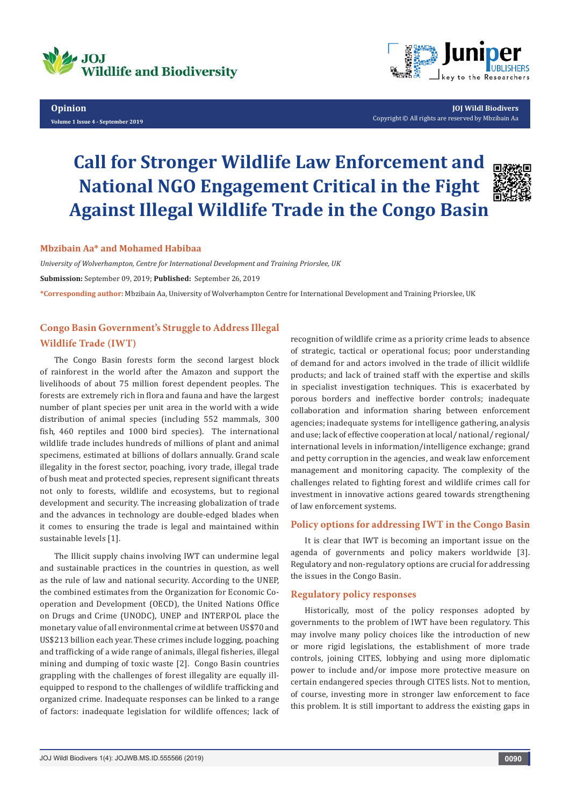



**JOJ Wildl Biodivers** Copyright © All rights are reserved by Mbzibain Aa

# **Call for Stronger Wildlife Law Enforcement and National NGO Engagement Critical in the Fight Against Illegal Wildlife Trade in the Congo Basin**



#### **Mbzibain Aa\* and Mohamed Habibaa**

*University of Wolverhampton, Centre for International Development and Training Priorslee, UK* **Submission:** September 09, 2019; **Published:** September 26, 2019 **\*Corresponding author:** Mbzibain Aa, University of Wolverhampton Centre for International Development and Training Priorslee, UK

## **Congo Basin Government's Struggle to Address Illegal Wildlife Trade (IWT)**

The Congo Basin forests form the second largest block of rainforest in the world after the Amazon and support the livelihoods of about 75 million forest dependent peoples. The forests are extremely rich in flora and fauna and have the largest number of plant species per unit area in the world with a wide distribution of animal species (including 552 mammals, 300 fish, 460 reptiles and 1000 bird species). The international wildlife trade includes hundreds of millions of plant and animal specimens, estimated at billions of dollars annually. Grand scale illegality in the forest sector, poaching, ivory trade, illegal trade of bush meat and protected species, represent significant threats not only to forests, wildlife and ecosystems, but to regional development and security. The increasing globalization of trade and the advances in technology are double-edged blades when it comes to ensuring the trade is legal and maintained within sustainable levels [1].

The Illicit supply chains involving IWT can undermine legal and sustainable practices in the countries in question, as well as the rule of law and national security. According to the UNEP, the combined estimates from the Organization for Economic Cooperation and Development (OECD), the United Nations Office on Drugs and Crime (UNODC), UNEP and INTERPOL place the monetary value of all environmental crime at between US\$70 and US\$213 billion each year. These crimes include logging, poaching and trafficking of a wide range of animals, illegal fisheries, illegal mining and dumping of toxic waste [2]. Congo Basin countries grappling with the challenges of forest illegality are equally illequipped to respond to the challenges of wildlife trafficking and organized crime. Inadequate responses can be linked to a range of factors: inadequate legislation for wildlife offences; lack of recognition of wildlife crime as a priority crime leads to absence of strategic, tactical or operational focus; poor understanding of demand for and actors involved in the trade of illicit wildlife products; and lack of trained staff with the expertise and skills in specialist investigation techniques. This is exacerbated by porous borders and ineffective border controls; inadequate collaboration and information sharing between enforcement agencies; inadequate systems for intelligence gathering, analysis and use; lack of effective cooperation at local/ national/ regional/ international levels in information/intelligence exchange; grand and petty corruption in the agencies, and weak law enforcement management and monitoring capacity. The complexity of the challenges related to fighting forest and wildlife crimes call for investment in innovative actions geared towards strengthening of law enforcement systems.

## **Policy options for addressing IWT in the Congo Basin**

It is clear that IWT is becoming an important issue on the agenda of governments and policy makers worldwide [3]. Regulatory and non-regulatory options are crucial for addressing the issues in the Congo Basin.

#### **Regulatory policy responses**

Historically, most of the policy responses adopted by governments to the problem of IWT have been regulatory. This may involve many policy choices like the introduction of new or more rigid legislations, the establishment of more trade controls, joining CITES, lobbying and using more diplomatic power to include and/or impose more protective measure on certain endangered species through CITES lists. Not to mention, of course, investing more in stronger law enforcement to face this problem. It is still important to address the existing gaps in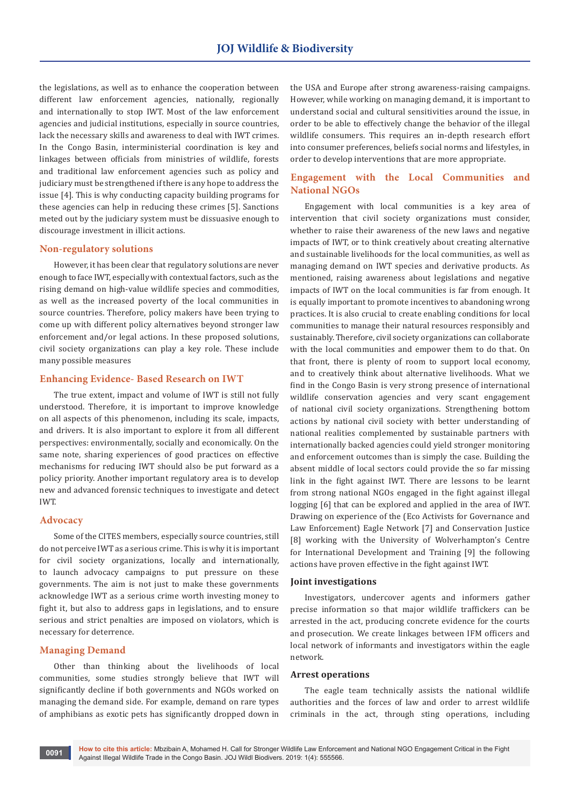the legislations, as well as to enhance the cooperation between different law enforcement agencies, nationally, regionally and internationally to stop IWT. Most of the law enforcement agencies and judicial institutions, especially in source countries, lack the necessary skills and awareness to deal with IWT crimes. In the Congo Basin, interministerial coordination is key and linkages between officials from ministries of wildlife, forests and traditional law enforcement agencies such as policy and judiciary must be strengthened if there is any hope to address the issue [4]. This is why conducting capacity building programs for these agencies can help in reducing these crimes [5]. Sanctions meted out by the judiciary system must be dissuasive enough to discourage investment in illicit actions.

#### **Non-regulatory solutions**

However, it has been clear that regulatory solutions are never enough to face IWT, especially with contextual factors, such as the rising demand on high-value wildlife species and commodities, as well as the increased poverty of the local communities in source countries. Therefore, policy makers have been trying to come up with different policy alternatives beyond stronger law enforcement and/or legal actions. In these proposed solutions, civil society organizations can play a key role. These include many possible measures

#### **Enhancing Evidence- Based Research on IWT**

The true extent, impact and volume of IWT is still not fully understood. Therefore, it is important to improve knowledge on all aspects of this phenomenon, including its scale, impacts, and drivers. It is also important to explore it from all different perspectives: environmentally, socially and economically. On the same note, sharing experiences of good practices on effective mechanisms for reducing IWT should also be put forward as a policy priority. Another important regulatory area is to develop new and advanced forensic techniques to investigate and detect IWT.

#### **Advocacy**

Some of the CITES members, especially source countries, still do not perceive IWT as a serious crime. This is why it is important for civil society organizations, locally and internationally, to launch advocacy campaigns to put pressure on these governments. The aim is not just to make these governments acknowledge IWT as a serious crime worth investing money to fight it, but also to address gaps in legislations, and to ensure serious and strict penalties are imposed on violators, which is necessary for deterrence.

#### **Managing Demand**

Other than thinking about the livelihoods of local communities, some studies strongly believe that IWT will significantly decline if both governments and NGOs worked on managing the demand side. For example, demand on rare types of amphibians as exotic pets has significantly dropped down in

the USA and Europe after strong awareness-raising campaigns. However, while working on managing demand, it is important to understand social and cultural sensitivities around the issue, in order to be able to effectively change the behavior of the illegal wildlife consumers. This requires an in-depth research effort into consumer preferences, beliefs social norms and lifestyles, in order to develop interventions that are more appropriate.

## **Engagement with the Local Communities and National NGOs**

Engagement with local communities is a key area of intervention that civil society organizations must consider, whether to raise their awareness of the new laws and negative impacts of IWT, or to think creatively about creating alternative and sustainable livelihoods for the local communities, as well as managing demand on IWT species and derivative products. As mentioned, raising awareness about legislations and negative impacts of IWT on the local communities is far from enough. It is equally important to promote incentives to abandoning wrong practices. It is also crucial to create enabling conditions for local communities to manage their natural resources responsibly and sustainably. Therefore, civil society organizations can collaborate with the local communities and empower them to do that. On that front, there is plenty of room to support local economy, and to creatively think about alternative livelihoods. What we find in the Congo Basin is very strong presence of international wildlife conservation agencies and very scant engagement of national civil society organizations. Strengthening bottom actions by national civil society with better understanding of national realities complemented by sustainable partners with internationally backed agencies could yield stronger monitoring and enforcement outcomes than is simply the case. Building the absent middle of local sectors could provide the so far missing link in the fight against IWT. There are lessons to be learnt from strong national NGOs engaged in the fight against illegal logging [6] that can be explored and applied in the area of IWT. Drawing on experience of the (Eco Activists for Governance and Law Enforcement) Eagle Network [7] and Conservation Justice [8] working with the University of Wolverhampton's Centre for International Development and Training [9] the following actions have proven effective in the fight against IWT.

#### **Joint investigations**

Investigators, undercover agents and informers gather precise information so that major wildlife traffickers can be arrested in the act, producing concrete evidence for the courts and prosecution. We create linkages between IFM officers and local network of informants and investigators within the eagle network.

#### **Arrest operations**

The eagle team technically assists the national wildlife authorities and the forces of law and order to arrest wildlife criminals in the act, through sting operations, including